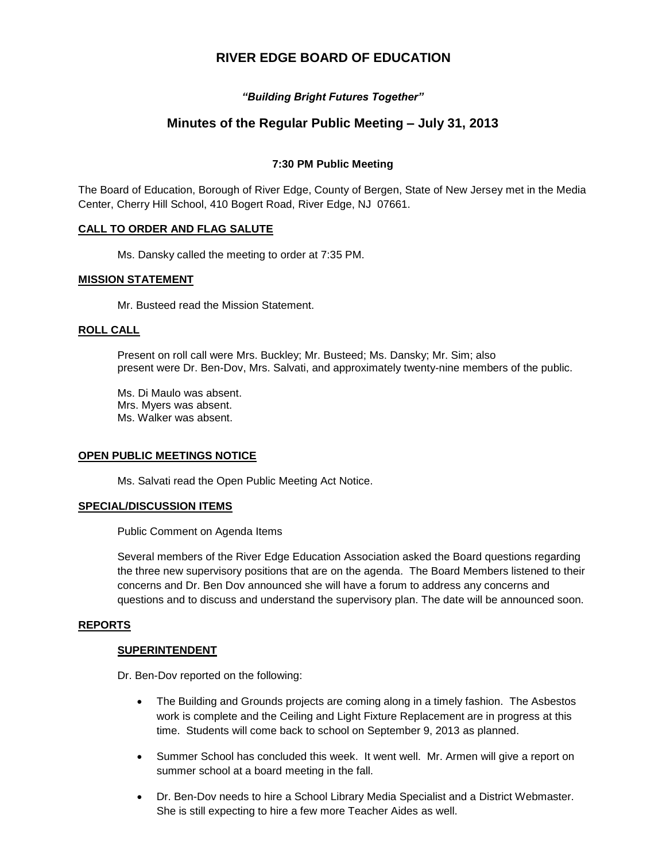# **RIVER EDGE BOARD OF EDUCATION**

# *"Building Bright Futures Together"*

# **Minutes of the Regular Public Meeting – July 31, 2013**

# **7:30 PM Public Meeting**

The Board of Education, Borough of River Edge, County of Bergen, State of New Jersey met in the Media Center, Cherry Hill School, 410 Bogert Road, River Edge, NJ 07661.

# **CALL TO ORDER AND FLAG SALUTE**

Ms. Dansky called the meeting to order at 7:35 PM.

# **MISSION STATEMENT**

Mr. Busteed read the Mission Statement.

### **ROLL CALL**

Present on roll call were Mrs. Buckley; Mr. Busteed; Ms. Dansky; Mr. Sim; also present were Dr. Ben-Dov, Mrs. Salvati, and approximately twenty-nine members of the public.

Ms. Di Maulo was absent. Mrs. Myers was absent. Ms. Walker was absent.

### **OPEN PUBLIC MEETINGS NOTICE**

Ms. Salvati read the Open Public Meeting Act Notice.

### **SPECIAL/DISCUSSION ITEMS**

Public Comment on Agenda Items

Several members of the River Edge Education Association asked the Board questions regarding the three new supervisory positions that are on the agenda. The Board Members listened to their concerns and Dr. Ben Dov announced she will have a forum to address any concerns and questions and to discuss and understand the supervisory plan. The date will be announced soon.

### **REPORTS**

### **SUPERINTENDENT**

Dr. Ben-Dov reported on the following:

- The Building and Grounds projects are coming along in a timely fashion. The Asbestos work is complete and the Ceiling and Light Fixture Replacement are in progress at this time. Students will come back to school on September 9, 2013 as planned.
- Summer School has concluded this week. It went well. Mr. Armen will give a report on summer school at a board meeting in the fall.
- Dr. Ben-Dov needs to hire a School Library Media Specialist and a District Webmaster. She is still expecting to hire a few more Teacher Aides as well.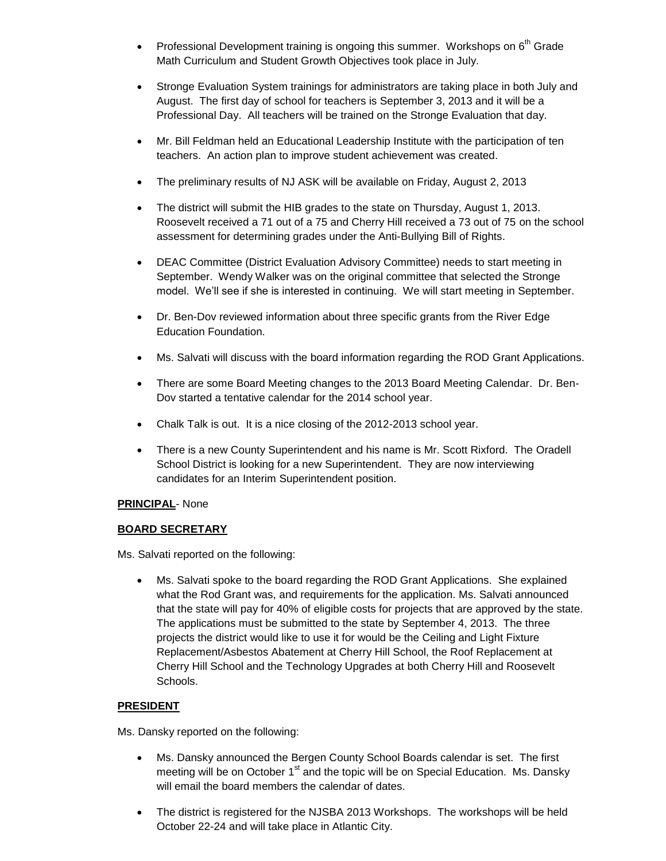- Professional Development training is ongoing this summer. Workshops on  $6<sup>th</sup>$  Grade Math Curriculum and Student Growth Objectives took place in July.
- Stronge Evaluation System trainings for administrators are taking place in both July and August. The first day of school for teachers is September 3, 2013 and it will be a Professional Day. All teachers will be trained on the Stronge Evaluation that day.
- Mr. Bill Feldman held an Educational Leadership Institute with the participation of ten teachers. An action plan to improve student achievement was created.
- The preliminary results of NJ ASK will be available on Friday, August 2, 2013
- The district will submit the HIB grades to the state on Thursday, August 1, 2013. Roosevelt received a 71 out of a 75 and Cherry Hill received a 73 out of 75 on the school assessment for determining grades under the Anti-Bullying Bill of Rights.
- DEAC Committee (District Evaluation Advisory Committee) needs to start meeting in September. Wendy Walker was on the original committee that selected the Stronge model. We'll see if she is interested in continuing. We will start meeting in September.
- Dr. Ben-Dov reviewed information about three specific grants from the River Edge Education Foundation.
- Ms. Salvati will discuss with the board information regarding the ROD Grant Applications.
- There are some Board Meeting changes to the 2013 Board Meeting Calendar. Dr. Ben-Dov started a tentative calendar for the 2014 school year.
- Chalk Talk is out. It is a nice closing of the 2012-2013 school year.
- There is a new County Superintendent and his name is Mr. Scott Rixford. The Oradell School District is looking for a new Superintendent. They are now interviewing candidates for an Interim Superintendent position.

# **PRINCIPAL**- None

# **BOARD SECRETARY**

Ms. Salvati reported on the following:

 Ms. Salvati spoke to the board regarding the ROD Grant Applications. She explained what the Rod Grant was, and requirements for the application. Ms. Salvati announced that the state will pay for 40% of eligible costs for projects that are approved by the state. The applications must be submitted to the state by September 4, 2013. The three projects the district would like to use it for would be the Ceiling and Light Fixture Replacement/Asbestos Abatement at Cherry Hill School, the Roof Replacement at Cherry Hill School and the Technology Upgrades at both Cherry Hill and Roosevelt Schools.

# **PRESIDENT**

Ms. Dansky reported on the following:

- Ms. Dansky announced the Bergen County School Boards calendar is set. The first meeting will be on October  $1<sup>st</sup>$  and the topic will be on Special Education. Ms. Dansky will email the board members the calendar of dates.
- The district is registered for the NJSBA 2013 Workshops. The workshops will be held October 22-24 and will take place in Atlantic City.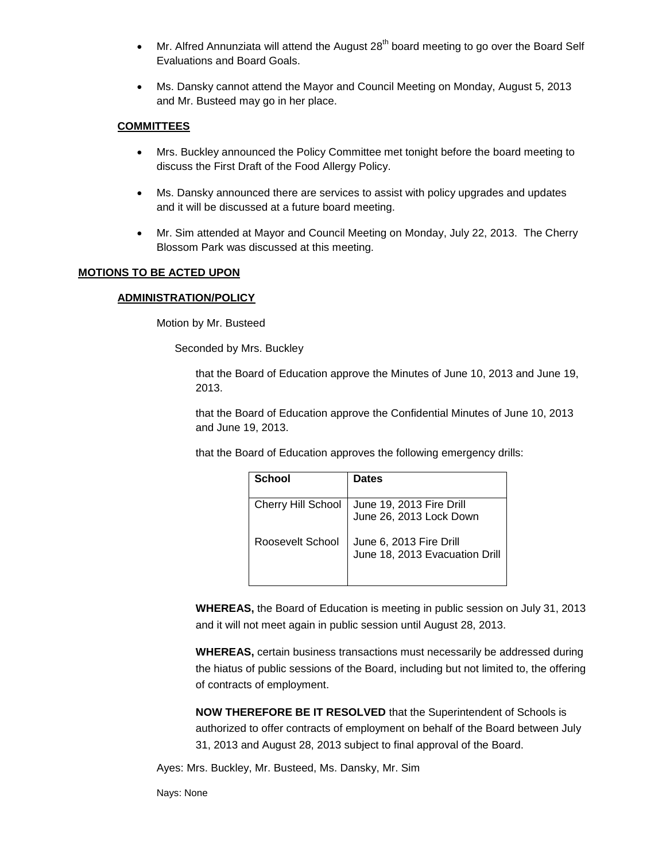- Mr. Alfred Annunziata will attend the August  $28<sup>th</sup>$  board meeting to go over the Board Self Evaluations and Board Goals.
- Ms. Dansky cannot attend the Mayor and Council Meeting on Monday, August 5, 2013 and Mr. Busteed may go in her place.

# **COMMITTEES**

- Mrs. Buckley announced the Policy Committee met tonight before the board meeting to discuss the First Draft of the Food Allergy Policy.
- Ms. Dansky announced there are services to assist with policy upgrades and updates and it will be discussed at a future board meeting.
- Mr. Sim attended at Mayor and Council Meeting on Monday, July 22, 2013. The Cherry Blossom Park was discussed at this meeting.

# **MOTIONS TO BE ACTED UPON**

### **ADMINISTRATION/POLICY**

Motion by Mr. Busteed

Seconded by Mrs. Buckley

that the Board of Education approve the Minutes of June 10, 2013 and June 19, 2013.

that the Board of Education approve the Confidential Minutes of June 10, 2013 and June 19, 2013.

that the Board of Education approves the following emergency drills:

| School                    | <b>Dates</b>                                              |
|---------------------------|-----------------------------------------------------------|
| <b>Cherry Hill School</b> | June 19, 2013 Fire Drill<br>June 26, 2013 Lock Down       |
| Roosevelt School          | June 6, 2013 Fire Drill<br>June 18, 2013 Evacuation Drill |

**WHEREAS,** the Board of Education is meeting in public session on July 31, 2013 and it will not meet again in public session until August 28, 2013.

**WHEREAS,** certain business transactions must necessarily be addressed during the hiatus of public sessions of the Board, including but not limited to, the offering of contracts of employment.

**NOW THEREFORE BE IT RESOLVED** that the Superintendent of Schools is authorized to offer contracts of employment on behalf of the Board between July 31, 2013 and August 28, 2013 subject to final approval of the Board.

Ayes: Mrs. Buckley, Mr. Busteed, Ms. Dansky, Mr. Sim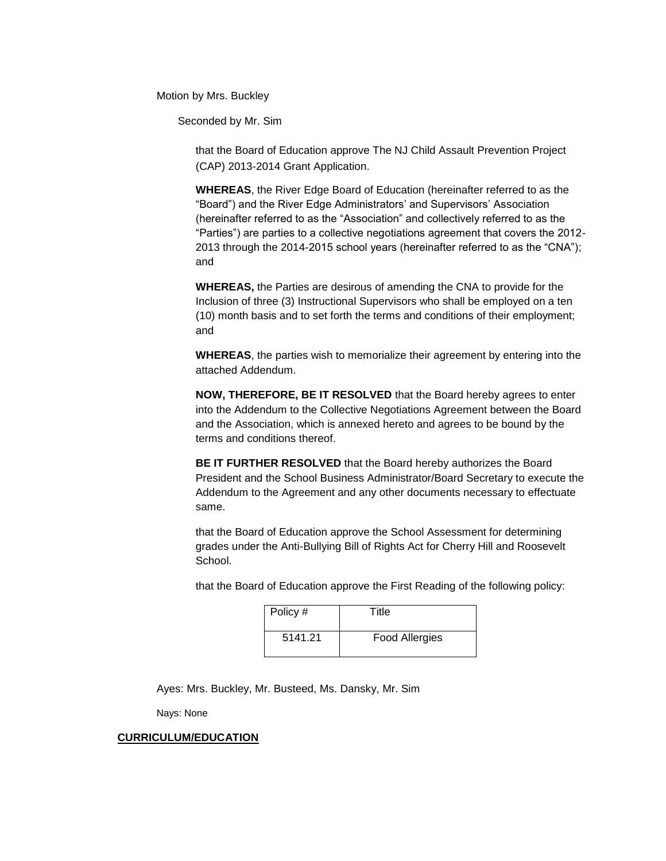Motion by Mrs. Buckley

Seconded by Mr. Sim

that the Board of Education approve The NJ Child Assault Prevention Project (CAP) 2013-2014 Grant Application.

**WHEREAS**, the River Edge Board of Education (hereinafter referred to as the "Board") and the River Edge Administrators' and Supervisors' Association (hereinafter referred to as the "Association" and collectively referred to as the "Parties") are parties to a collective negotiations agreement that covers the 2012- 2013 through the 2014-2015 school years (hereinafter referred to as the "CNA"); and

**WHEREAS,** the Parties are desirous of amending the CNA to provide for the Inclusion of three (3) Instructional Supervisors who shall be employed on a ten (10) month basis and to set forth the terms and conditions of their employment; and

**WHEREAS**, the parties wish to memorialize their agreement by entering into the attached Addendum.

**NOW, THEREFORE, BE IT RESOLVED** that the Board hereby agrees to enter into the Addendum to the Collective Negotiations Agreement between the Board and the Association, which is annexed hereto and agrees to be bound by the terms and conditions thereof.

**BE IT FURTHER RESOLVED** that the Board hereby authorizes the Board President and the School Business Administrator/Board Secretary to execute the Addendum to the Agreement and any other documents necessary to effectuate same.

that the Board of Education approve the School Assessment for determining grades under the Anti-Bullying Bill of Rights Act for Cherry Hill and Roosevelt School.

that the Board of Education approve the First Reading of the following policy:

| Policy # | Title                 |
|----------|-----------------------|
| 5141.21  | <b>Food Allergies</b> |

Ayes: Mrs. Buckley, Mr. Busteed, Ms. Dansky, Mr. Sim

Nays: None

#### **CURRICULUM/EDUCATION**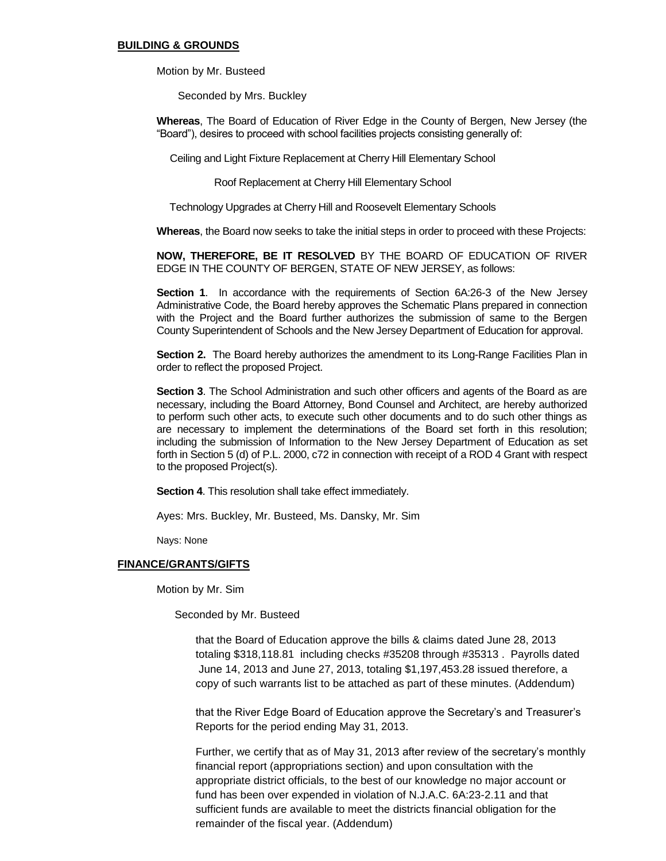#### **BUILDING & GROUNDS**

Motion by Mr. Busteed

Seconded by Mrs. Buckley

**Whereas**, The Board of Education of River Edge in the County of Bergen, New Jersey (the "Board"), desires to proceed with school facilities projects consisting generally of:

Ceiling and Light Fixture Replacement at Cherry Hill Elementary School

Roof Replacement at Cherry Hill Elementary School

Technology Upgrades at Cherry Hill and Roosevelt Elementary Schools

**Whereas**, the Board now seeks to take the initial steps in order to proceed with these Projects:

**NOW, THEREFORE, BE IT RESOLVED** BY THE BOARD OF EDUCATION OF RIVER EDGE IN THE COUNTY OF BERGEN, STATE OF NEW JERSEY, as follows:

**Section 1**. In accordance with the requirements of Section 6A:26-3 of the New Jersey Administrative Code, the Board hereby approves the Schematic Plans prepared in connection with the Project and the Board further authorizes the submission of same to the Bergen County Superintendent of Schools and the New Jersey Department of Education for approval.

**Section 2.** The Board hereby authorizes the amendment to its Long-Range Facilities Plan in order to reflect the proposed Project.

**Section 3**. The School Administration and such other officers and agents of the Board as are necessary, including the Board Attorney, Bond Counsel and Architect, are hereby authorized to perform such other acts, to execute such other documents and to do such other things as are necessary to implement the determinations of the Board set forth in this resolution; including the submission of Information to the New Jersey Department of Education as set forth in Section 5 (d) of P.L. 2000, c72 in connection with receipt of a ROD 4 Grant with respect to the proposed Project(s).

**Section 4**. This resolution shall take effect immediately.

Ayes: Mrs. Buckley, Mr. Busteed, Ms. Dansky, Mr. Sim

Nays: None

### **FINANCE/GRANTS/GIFTS**

Motion by Mr. Sim

Seconded by Mr. Busteed

that the Board of Education approve the bills & claims dated June 28, 2013 totaling \$318,118.81 including checks #35208 through #35313 . Payrolls dated June 14, 2013 and June 27, 2013, totaling \$1,197,453.28 issued therefore, a copy of such warrants list to be attached as part of these minutes. (Addendum)

that the River Edge Board of Education approve the Secretary's and Treasurer's Reports for the period ending May 31, 2013.

Further, we certify that as of May 31, 2013 after review of the secretary's monthly financial report (appropriations section) and upon consultation with the appropriate district officials, to the best of our knowledge no major account or fund has been over expended in violation of N.J.A.C. 6A:23-2.11 and that sufficient funds are available to meet the districts financial obligation for the remainder of the fiscal year. (Addendum)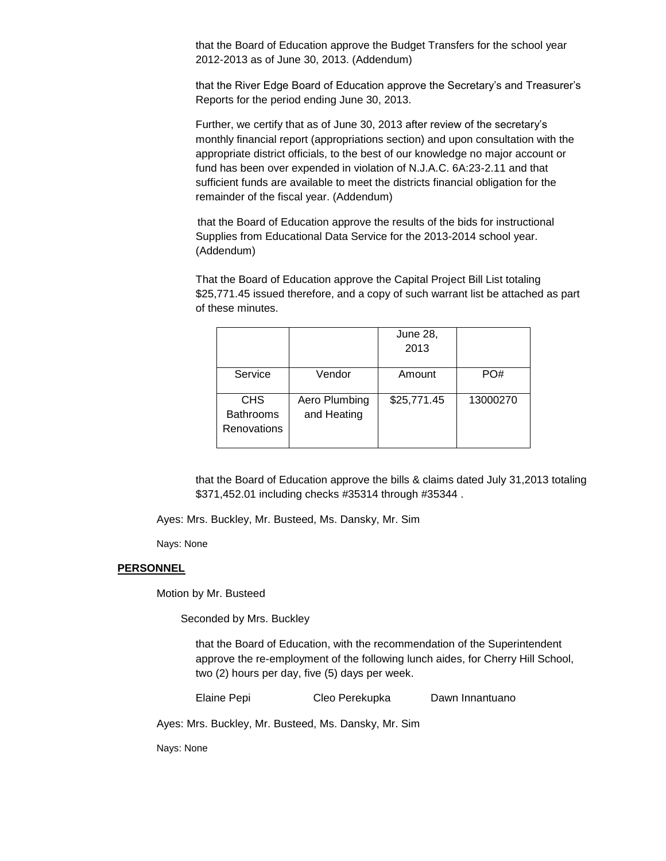that the Board of Education approve the Budget Transfers for the school year 2012-2013 as of June 30, 2013. (Addendum)

that the River Edge Board of Education approve the Secretary's and Treasurer's Reports for the period ending June 30, 2013.

Further, we certify that as of June 30, 2013 after review of the secretary's monthly financial report (appropriations section) and upon consultation with the appropriate district officials, to the best of our knowledge no major account or fund has been over expended in violation of N.J.A.C. 6A:23-2.11 and that sufficient funds are available to meet the districts financial obligation for the remainder of the fiscal year. (Addendum)

 that the Board of Education approve the results of the bids for instructional Supplies from Educational Data Service for the 2013-2014 school year. (Addendum)

That the Board of Education approve the Capital Project Bill List totaling \$25,771.45 issued therefore, and a copy of such warrant list be attached as part of these minutes.

|                  |               | <b>June 28,</b> |          |
|------------------|---------------|-----------------|----------|
|                  |               | 2013            |          |
|                  |               |                 |          |
| Service          | Vendor        | Amount          | PO#      |
|                  |               |                 |          |
| <b>CHS</b>       | Aero Plumbing | \$25,771.45     | 13000270 |
| <b>Bathrooms</b> | and Heating   |                 |          |
| Renovations      |               |                 |          |
|                  |               |                 |          |

that the Board of Education approve the bills & claims dated July 31,2013 totaling \$371,452.01 including checks #35314 through #35344 .

Ayes: Mrs. Buckley, Mr. Busteed, Ms. Dansky, Mr. Sim

Nays: None

#### **PERSONNEL**

Motion by Mr. Busteed

Seconded by Mrs. Buckley

that the Board of Education, with the recommendation of the Superintendent approve the re-employment of the following lunch aides, for Cherry Hill School, two (2) hours per day, five (5) days per week.

Elaine Pepi Cleo Perekupka Dawn Innantuano

Ayes: Mrs. Buckley, Mr. Busteed, Ms. Dansky, Mr. Sim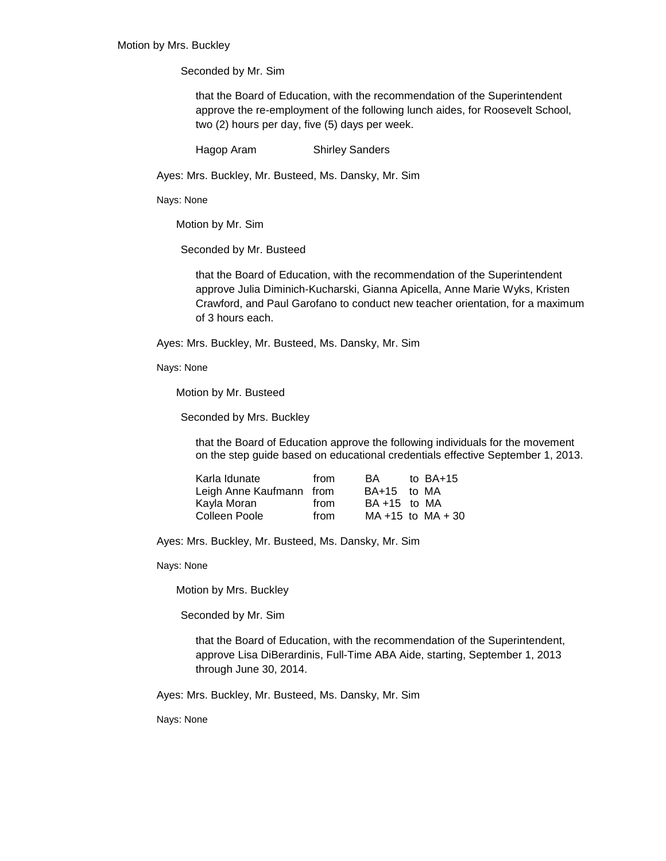Seconded by Mr. Sim

that the Board of Education, with the recommendation of the Superintendent approve the re-employment of the following lunch aides, for Roosevelt School, two (2) hours per day, five (5) days per week.

Hagop Aram Shirley Sanders

Ayes: Mrs. Buckley, Mr. Busteed, Ms. Dansky, Mr. Sim

Nays: None

Motion by Mr. Sim

Seconded by Mr. Busteed

that the Board of Education, with the recommendation of the Superintendent approve Julia Diminich-Kucharski, Gianna Apicella, Anne Marie Wyks, Kristen Crawford, and Paul Garofano to conduct new teacher orientation, for a maximum of 3 hours each.

Ayes: Mrs. Buckley, Mr. Busteed, Ms. Dansky, Mr. Sim

Nays: None

Motion by Mr. Busteed

Seconded by Mrs. Buckley

that the Board of Education approve the following individuals for the movement on the step guide based on educational credentials effective September 1, 2013.

| Karla Idunate            | from | BA.             | to $BA+15$             |
|--------------------------|------|-----------------|------------------------|
| Leigh Anne Kaufmann from |      | BA+15 to MA     |                        |
| Kayla Moran              | from | $BA + 15$ to MA |                        |
| Colleen Poole            | from |                 | $MA + 15$ to $MA + 30$ |

Ayes: Mrs. Buckley, Mr. Busteed, Ms. Dansky, Mr. Sim

Nays: None

Motion by Mrs. Buckley

Seconded by Mr. Sim

that the Board of Education, with the recommendation of the Superintendent, approve Lisa DiBerardinis, Full-Time ABA Aide, starting, September 1, 2013 through June 30, 2014.

Ayes: Mrs. Buckley, Mr. Busteed, Ms. Dansky, Mr. Sim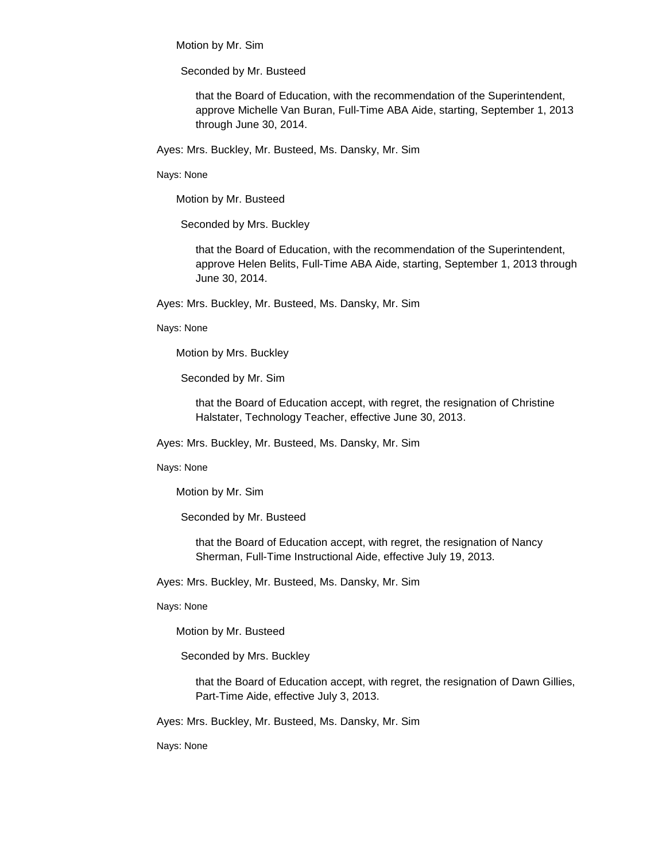Motion by Mr. Sim

Seconded by Mr. Busteed

that the Board of Education, with the recommendation of the Superintendent, approve Michelle Van Buran, Full-Time ABA Aide, starting, September 1, 2013 through June 30, 2014.

Ayes: Mrs. Buckley, Mr. Busteed, Ms. Dansky, Mr. Sim

Nays: None

Motion by Mr. Busteed

Seconded by Mrs. Buckley

that the Board of Education, with the recommendation of the Superintendent, approve Helen Belits, Full-Time ABA Aide, starting, September 1, 2013 through June 30, 2014.

Ayes: Mrs. Buckley, Mr. Busteed, Ms. Dansky, Mr. Sim

Nays: None

Motion by Mrs. Buckley

Seconded by Mr. Sim

that the Board of Education accept, with regret, the resignation of Christine Halstater, Technology Teacher, effective June 30, 2013.

Ayes: Mrs. Buckley, Mr. Busteed, Ms. Dansky, Mr. Sim

Nays: None

Motion by Mr. Sim

Seconded by Mr. Busteed

that the Board of Education accept, with regret, the resignation of Nancy Sherman, Full-Time Instructional Aide, effective July 19, 2013.

Ayes: Mrs. Buckley, Mr. Busteed, Ms. Dansky, Mr. Sim

Nays: None

Motion by Mr. Busteed

Seconded by Mrs. Buckley

that the Board of Education accept, with regret, the resignation of Dawn Gillies, Part-Time Aide, effective July 3, 2013.

Ayes: Mrs. Buckley, Mr. Busteed, Ms. Dansky, Mr. Sim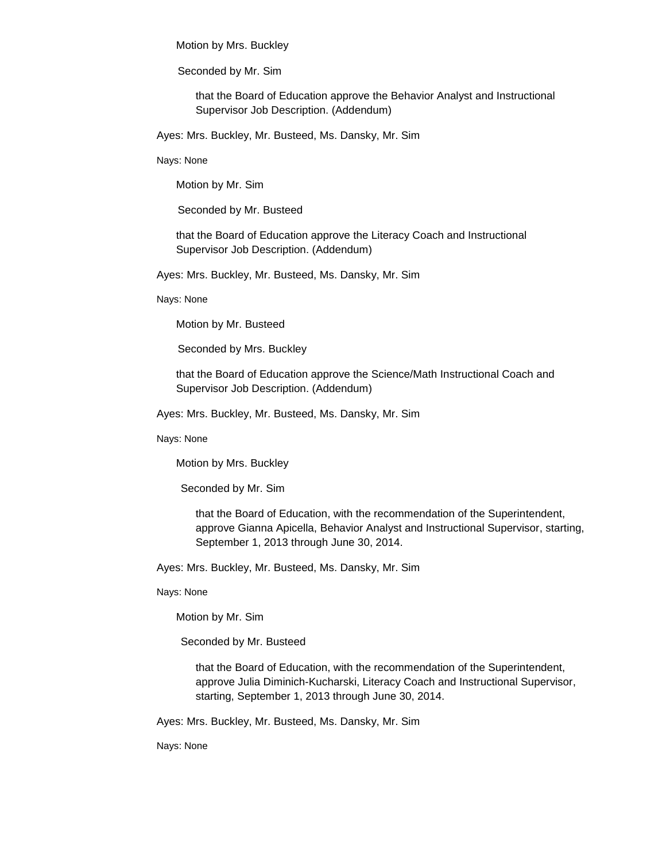Motion by Mrs. Buckley

Seconded by Mr. Sim

that the Board of Education approve the Behavior Analyst and Instructional Supervisor Job Description. (Addendum)

Ayes: Mrs. Buckley, Mr. Busteed, Ms. Dansky, Mr. Sim

Nays: None

Motion by Mr. Sim

Seconded by Mr. Busteed

that the Board of Education approve the Literacy Coach and Instructional Supervisor Job Description. (Addendum)

Ayes: Mrs. Buckley, Mr. Busteed, Ms. Dansky, Mr. Sim

Nays: None

Motion by Mr. Busteed

Seconded by Mrs. Buckley

that the Board of Education approve the Science/Math Instructional Coach and Supervisor Job Description. (Addendum)

Ayes: Mrs. Buckley, Mr. Busteed, Ms. Dansky, Mr. Sim

Nays: None

Motion by Mrs. Buckley

Seconded by Mr. Sim

that the Board of Education, with the recommendation of the Superintendent, approve Gianna Apicella, Behavior Analyst and Instructional Supervisor, starting, September 1, 2013 through June 30, 2014.

Ayes: Mrs. Buckley, Mr. Busteed, Ms. Dansky, Mr. Sim

Nays: None

Motion by Mr. Sim

Seconded by Mr. Busteed

that the Board of Education, with the recommendation of the Superintendent, approve Julia Diminich-Kucharski, Literacy Coach and Instructional Supervisor, starting, September 1, 2013 through June 30, 2014.

Ayes: Mrs. Buckley, Mr. Busteed, Ms. Dansky, Mr. Sim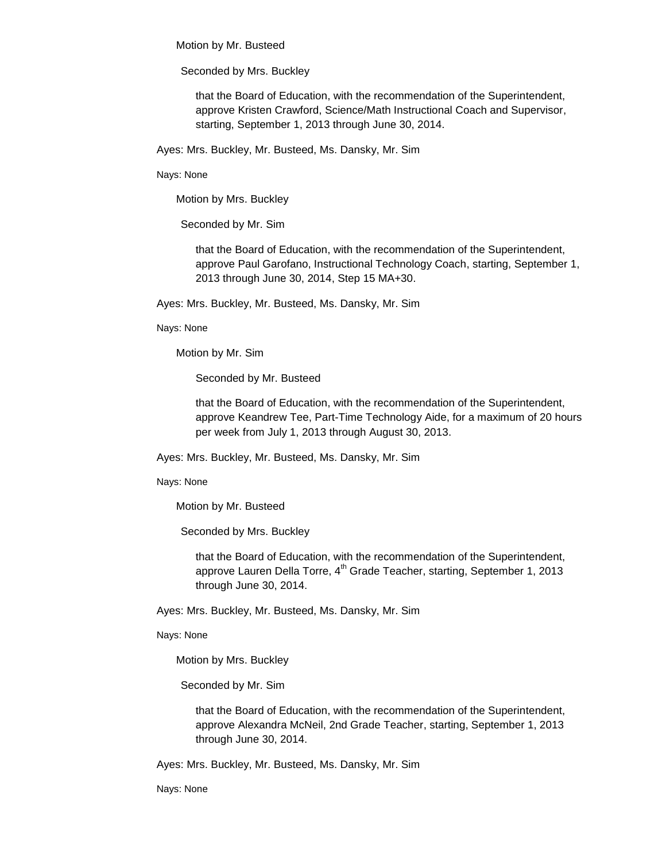Motion by Mr. Busteed

Seconded by Mrs. Buckley

that the Board of Education, with the recommendation of the Superintendent, approve Kristen Crawford, Science/Math Instructional Coach and Supervisor, starting, September 1, 2013 through June 30, 2014.

Ayes: Mrs. Buckley, Mr. Busteed, Ms. Dansky, Mr. Sim

Nays: None

Motion by Mrs. Buckley

Seconded by Mr. Sim

that the Board of Education, with the recommendation of the Superintendent, approve Paul Garofano, Instructional Technology Coach, starting, September 1, 2013 through June 30, 2014, Step 15 MA+30.

Ayes: Mrs. Buckley, Mr. Busteed, Ms. Dansky, Mr. Sim

Nays: None

Motion by Mr. Sim

Seconded by Mr. Busteed

that the Board of Education, with the recommendation of the Superintendent, approve Keandrew Tee, Part-Time Technology Aide, for a maximum of 20 hours per week from July 1, 2013 through August 30, 2013.

Ayes: Mrs. Buckley, Mr. Busteed, Ms. Dansky, Mr. Sim

Nays: None

Motion by Mr. Busteed

Seconded by Mrs. Buckley

that the Board of Education, with the recommendation of the Superintendent, approve Lauren Della Torre,  $4<sup>th</sup>$  Grade Teacher, starting, September 1, 2013 through June 30, 2014.

Ayes: Mrs. Buckley, Mr. Busteed, Ms. Dansky, Mr. Sim

Nays: None

Motion by Mrs. Buckley

Seconded by Mr. Sim

that the Board of Education, with the recommendation of the Superintendent, approve Alexandra McNeil, 2nd Grade Teacher, starting, September 1, 2013 through June 30, 2014.

Ayes: Mrs. Buckley, Mr. Busteed, Ms. Dansky, Mr. Sim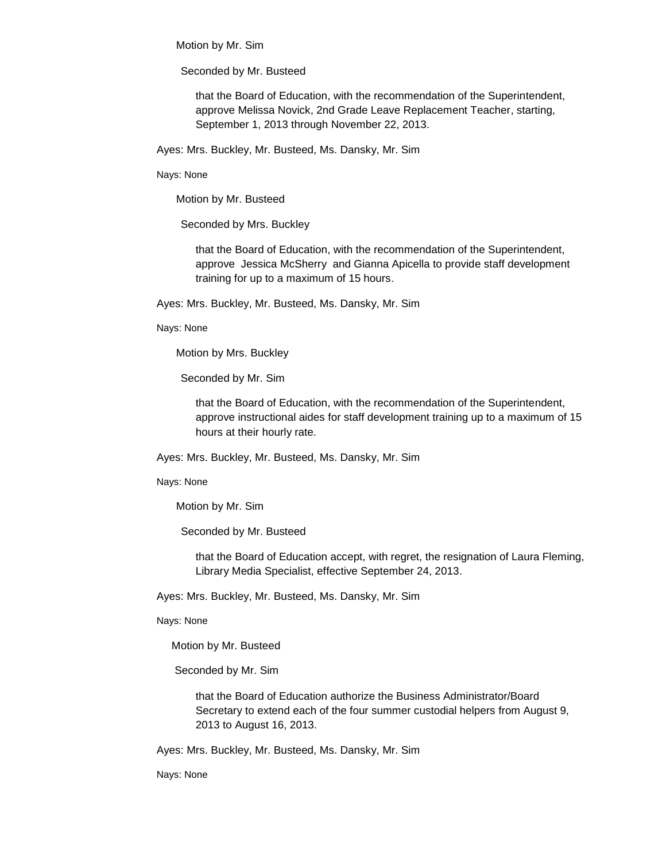Motion by Mr. Sim

Seconded by Mr. Busteed

that the Board of Education, with the recommendation of the Superintendent, approve Melissa Novick, 2nd Grade Leave Replacement Teacher, starting, September 1, 2013 through November 22, 2013.

Ayes: Mrs. Buckley, Mr. Busteed, Ms. Dansky, Mr. Sim

Nays: None

Motion by Mr. Busteed

Seconded by Mrs. Buckley

that the Board of Education, with the recommendation of the Superintendent, approve Jessica McSherry and Gianna Apicella to provide staff development training for up to a maximum of 15 hours.

Ayes: Mrs. Buckley, Mr. Busteed, Ms. Dansky, Mr. Sim

Nays: None

Motion by Mrs. Buckley

Seconded by Mr. Sim

that the Board of Education, with the recommendation of the Superintendent, approve instructional aides for staff development training up to a maximum of 15 hours at their hourly rate.

Ayes: Mrs. Buckley, Mr. Busteed, Ms. Dansky, Mr. Sim

Nays: None

Motion by Mr. Sim

Seconded by Mr. Busteed

that the Board of Education accept, with regret, the resignation of Laura Fleming, Library Media Specialist, effective September 24, 2013.

Ayes: Mrs. Buckley, Mr. Busteed, Ms. Dansky, Mr. Sim

Nays: None

Motion by Mr. Busteed

Seconded by Mr. Sim

that the Board of Education authorize the Business Administrator/Board Secretary to extend each of the four summer custodial helpers from August 9, 2013 to August 16, 2013.

Ayes: Mrs. Buckley, Mr. Busteed, Ms. Dansky, Mr. Sim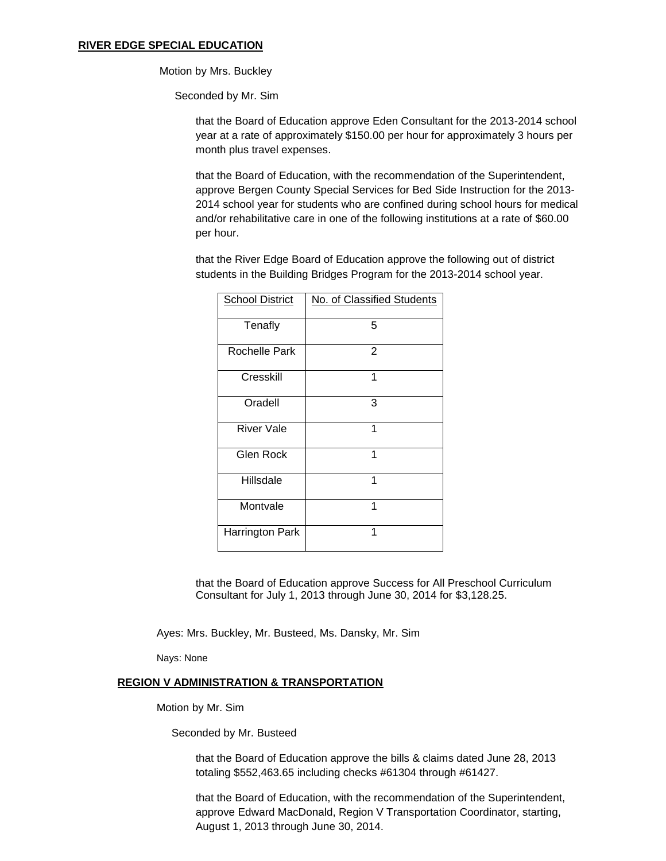#### **RIVER EDGE SPECIAL EDUCATION**

Motion by Mrs. Buckley

Seconded by Mr. Sim

that the Board of Education approve Eden Consultant for the 2013-2014 school year at a rate of approximately \$150.00 per hour for approximately 3 hours per month plus travel expenses.

that the Board of Education, with the recommendation of the Superintendent, approve Bergen County Special Services for Bed Side Instruction for the 2013- 2014 school year for students who are confined during school hours for medical and/or rehabilitative care in one of the following institutions at a rate of \$60.00 per hour.

that the River Edge Board of Education approve the following out of district students in the Building Bridges Program for the 2013-2014 school year.

| <b>School District</b> | No. of Classified Students |
|------------------------|----------------------------|
| Tenafly                | 5                          |
| Rochelle Park          | 2                          |
| Cresskill              | 1                          |
| Oradell                | 3                          |
| <b>River Vale</b>      | 1                          |
| <b>Glen Rock</b>       | 1                          |
| Hillsdale              | 1                          |
| Montvale               | 1                          |
| Harrington Park        | 1                          |

that the Board of Education approve Success for All Preschool Curriculum Consultant for July 1, 2013 through June 30, 2014 for \$3,128.25.

Ayes: Mrs. Buckley, Mr. Busteed, Ms. Dansky, Mr. Sim

Nays: None

#### **REGION V ADMINISTRATION & TRANSPORTATION**

Motion by Mr. Sim

Seconded by Mr. Busteed

that the Board of Education approve the bills & claims dated June 28, 2013 totaling \$552,463.65 including checks #61304 through #61427.

that the Board of Education, with the recommendation of the Superintendent, approve Edward MacDonald, Region V Transportation Coordinator, starting, August 1, 2013 through June 30, 2014.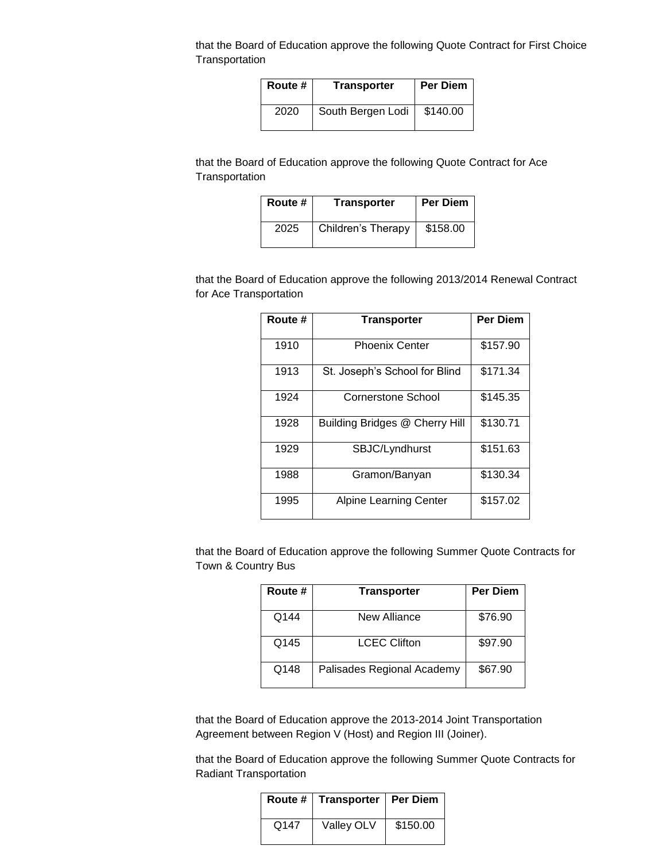that the Board of Education approve the following Quote Contract for First Choice **Transportation** 

| Route # | <b>Transporter</b> | <b>Per Diem</b> |
|---------|--------------------|-----------------|
| 2020    | South Bergen Lodi  | \$140.00        |

that the Board of Education approve the following Quote Contract for Ace **Transportation** 

| Route # | <b>Transporter</b> | Per Diem |
|---------|--------------------|----------|
| 2025    | Children's Therapy | \$158.00 |

that the Board of Education approve the following 2013/2014 Renewal Contract for Ace Transportation

| Route # | <b>Transporter</b>             | <b>Per Diem</b> |
|---------|--------------------------------|-----------------|
| 1910    | <b>Phoenix Center</b>          | \$157.90        |
| 1913    | St. Joseph's School for Blind  | \$171.34        |
| 1924    | <b>Cornerstone School</b>      | \$145.35        |
| 1928    | Building Bridges @ Cherry Hill | \$130.71        |
| 1929    | SBJC/Lyndhurst                 | \$151.63        |
| 1988    | Gramon/Banyan                  | \$130.34        |
| 1995    | <b>Alpine Learning Center</b>  | \$157.02        |

that the Board of Education approve the following Summer Quote Contracts for Town & Country Bus

| Route # | <b>Transporter</b>         | <b>Per Diem</b> |
|---------|----------------------------|-----------------|
| Q144    | New Alliance               | \$76.90         |
| Q145    | <b>LCEC Clifton</b>        | \$97.90         |
| Q148    | Palisades Regional Academy | \$67.90         |

that the Board of Education approve the 2013-2014 Joint Transportation Agreement between Region V (Host) and Region III (Joiner).

that the Board of Education approve the following Summer Quote Contracts for Radiant Transportation

|      | Route #   Transporter   Per Diem |          |
|------|----------------------------------|----------|
| Q147 | Valley OLV                       | \$150.00 |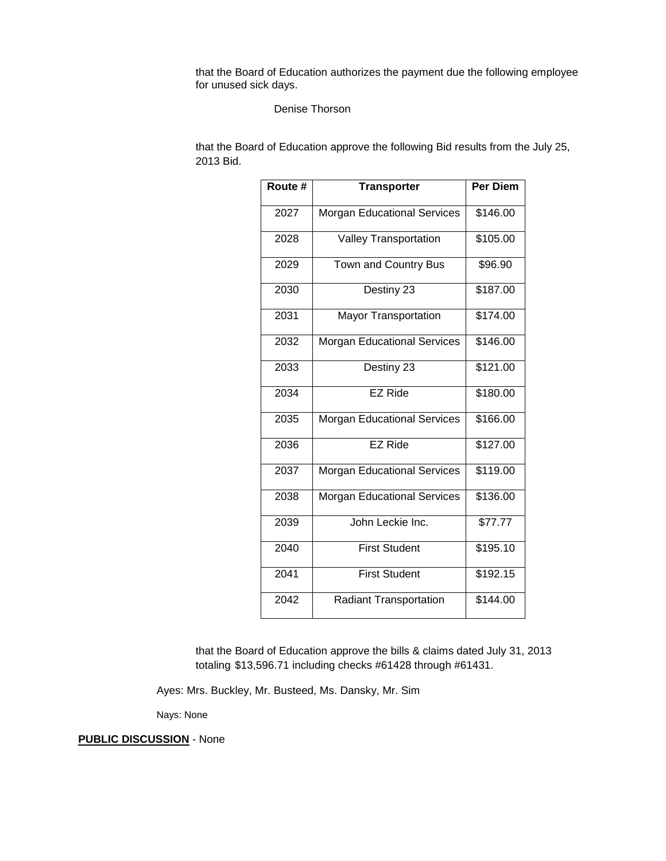that the Board of Education authorizes the payment due the following employee for unused sick days.

# Denise Thorson

that the Board of Education approve the following Bid results from the July 25, 2013 Bid.

| Route # | <b>Transporter</b>                 | <b>Per Diem</b> |
|---------|------------------------------------|-----------------|
| 2027    | <b>Morgan Educational Services</b> | \$146.00        |
| 2028    | <b>Valley Transportation</b>       | \$105.00        |
| 2029    | Town and Country Bus               | \$96.90         |
| 2030    | Destiny 23                         | \$187.00        |
| 2031    | <b>Mayor Transportation</b>        | \$174.00        |
| 2032    | <b>Morgan Educational Services</b> | \$146.00        |
| 2033    | Destiny 23                         | \$121.00        |
| 2034    | <b>EZ Ride</b>                     | \$180.00        |
| 2035    | <b>Morgan Educational Services</b> | \$166.00        |
| 2036    | EZ Ride                            | \$127.00        |
| 2037    | <b>Morgan Educational Services</b> | \$119.00        |
| 2038    | <b>Morgan Educational Services</b> | \$136.00        |
| 2039    | John Leckie Inc.                   | \$77.77         |
| 2040    | <b>First Student</b>               | \$195.10        |
| 2041    | <b>First Student</b>               | \$192.15        |
| 2042    | <b>Radiant Transportation</b>      | \$144.00        |

that the Board of Education approve the bills & claims dated July 31, 2013 totaling \$13,596.71 including checks #61428 through #61431.

Ayes: Mrs. Buckley, Mr. Busteed, Ms. Dansky, Mr. Sim

Nays: None

**PUBLIC DISCUSSION** - None